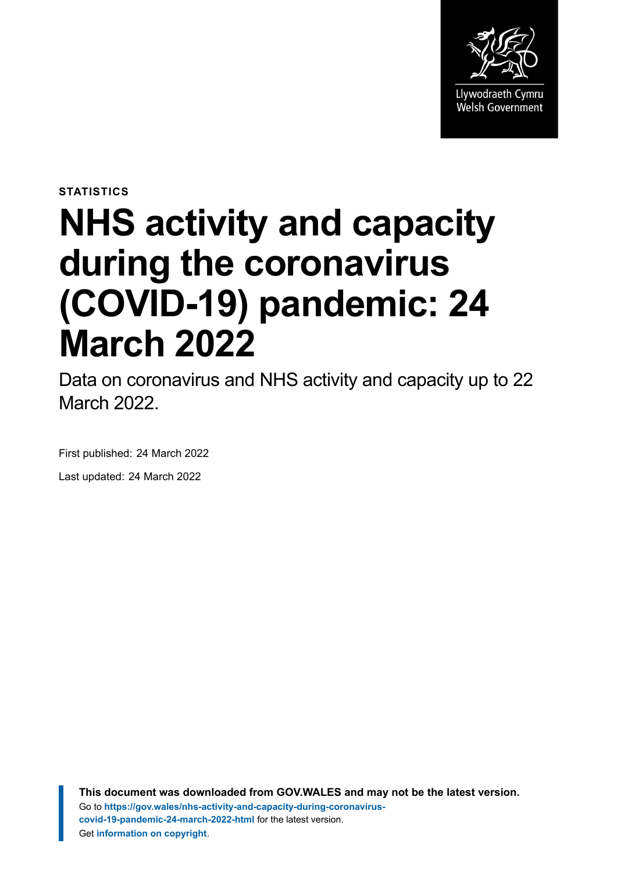

**STATISTICS**

# **NHS activity and capacity during the coronavirus (COVID-19) pandemic: 24 March 2022**

Data on coronavirus and NHS activity and capacity up to 22 March 2022.

First published: 24 March 2022

Last updated: 24 March 2022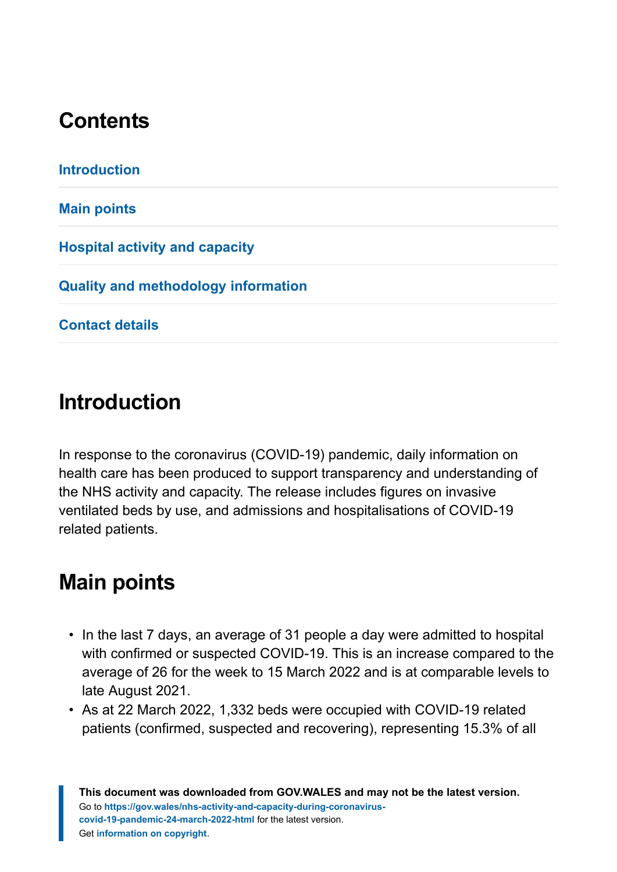# **Contents**

# <span id="page-1-0"></span>**Introduction**

In response to the coronavirus (COVID-19) pandemic, daily information on health care has been produced to support transparency and understanding of the NHS activity and capacity. The release includes figures on invasive ventilated beds by use, and admissions and hospitalisations of COVID-19 related patients.

# <span id="page-1-1"></span>**Main points**

- In the last 7 days, an average of 31 people a day were admitted to hospital with confirmed or suspected COVID-19. This is an increase compared to the average of 26 for the week to 15 March 2022 and is at comparable levels to late August 2021.
- As at 22 March 2022, 1,332 beds were occupied with COVID-19 related patients (confirmed, suspected and recovering), representing 15.3% of all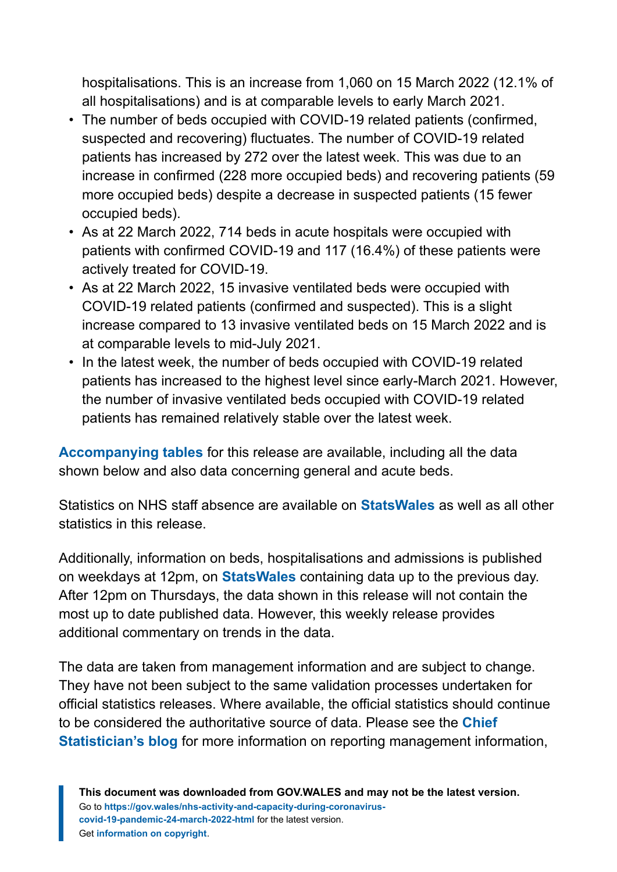hospitalisations. This is an increase from 1,060 on 15 March 2022 (12.1% of all hospitalisations) and is at comparable levels to early March 2021.

- The number of beds occupied with COVID-19 related patients (confirmed, suspected and recovering) fluctuates. The number of COVID-19 related patients has increased by 272 over the latest week. This was due to an increase in confirmed (228 more occupied beds) and recovering patients (59 more occupied beds) despite a decrease in suspected patients (15 fewer occupied beds).
- As at 22 March 2022, 714 beds in acute hospitals were occupied with patients with confirmed COVID-19 and 117 (16.4%) of these patients were actively treated for COVID-19.
- As at 22 March 2022, 15 invasive ventilated beds were occupied with COVID-19 related patients (confirmed and suspected). This is a slight increase compared to 13 invasive ventilated beds on 15 March 2022 and is at comparable levels to mid-July 2021.
- In the latest week, the number of beds occupied with COVID-19 related patients has increased to the highest level since early-March 2021. However, the number of invasive ventilated beds occupied with COVID-19 related patients has remained relatively stable over the latest week.

**[Accompanying tables](https://gov.wales/nhs-activity-and-capacity-during-coronavirus-covid-19-pandemic-24-march-2022)** for this release are available, including all the data shown below and also data concerning general and acute beds.

Statistics on NHS staff absence are available on **[StatsWales](https://statswales.gov.wales/Catalogue/Health-and-Social-Care/NHS-Hospital-Activity/nhs-activity-and-capacity-during-the-coronavirus-pandemic)** as well as all other statistics in this release.

Additionally, information on beds, hospitalisations and admissions is published on weekdays at 12pm, on **[StatsWales](https://statswales.gov.wales/Catalogue/Health-and-Social-Care/NHS-Hospital-Activity/nhs-activity-and-capacity-during-the-coronavirus-pandemic)** containing data up to the previous day. After 12pm on Thursdays, the data shown in this release will not contain the most up to date published data. However, this weekly release provides additional commentary on trends in the data.

The data are taken from management information and are subject to change. They have not been subject to the same validation processes undertaken for official statistics releases. Where available, the official statistics should continue to be considered the authoritative source of data. Please see the **[Chief](https://digitalanddata.blog.gov.wales/2020/06/04/chief-statisticians-update-measuring-people-in-hospital-and-some-thoughts-on-data-quality/) [Statistician's blog](https://digitalanddata.blog.gov.wales/2020/06/04/chief-statisticians-update-measuring-people-in-hospital-and-some-thoughts-on-data-quality/)** for more information on reporting management information,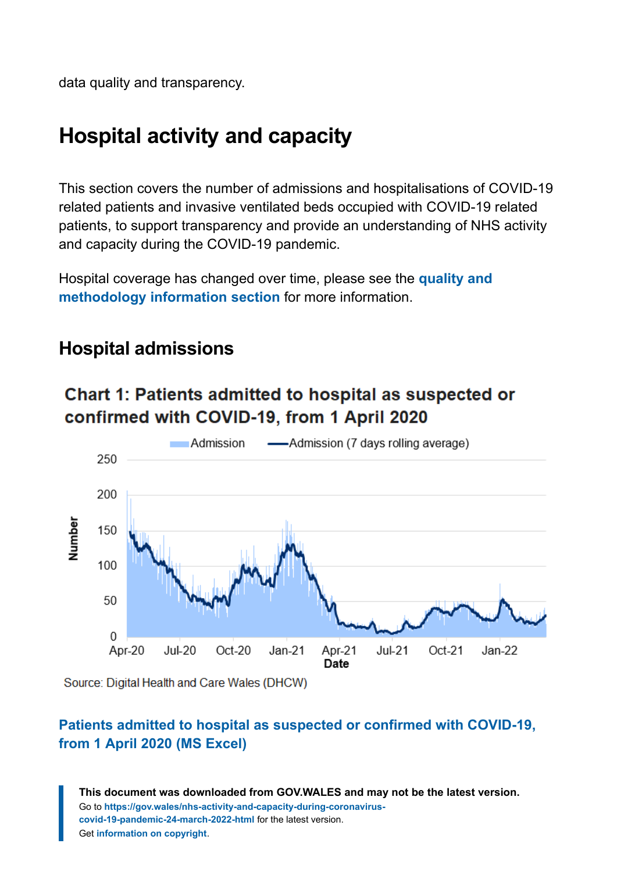data quality and transparency.

# <span id="page-3-0"></span>**Hospital activity and capacity**

This section covers the number of admissions and hospitalisations of COVID-19 related patients and invasive ventilated beds occupied with COVID-19 related patients, to support transparency and provide an understanding of NHS activity and capacity during the COVID-19 pandemic.

Hospital coverage has changed over time, please see the **[quality and](#page-10-0) [methodology information section](#page-10-0)** for more information.

### **Hospital admissions**

### Chart 1: Patients admitted to hospital as suspected or confirmed with COVID-19, from 1 April 2020



Source: Digital Health and Care Wales (DHCW)

#### **[Patients admitted to hospital as suspected or confirmed with COVID-19,](https://gov.wales/sites/default/files/statistics-and-research/2022-03/nhs-activity-and-capacity-during-the-coronavirus-covid-19-pandemic-24-march-2022-177.ods) [from 1 April 2020 \(MS Excel\)](https://gov.wales/sites/default/files/statistics-and-research/2022-03/nhs-activity-and-capacity-during-the-coronavirus-covid-19-pandemic-24-march-2022-177.ods)**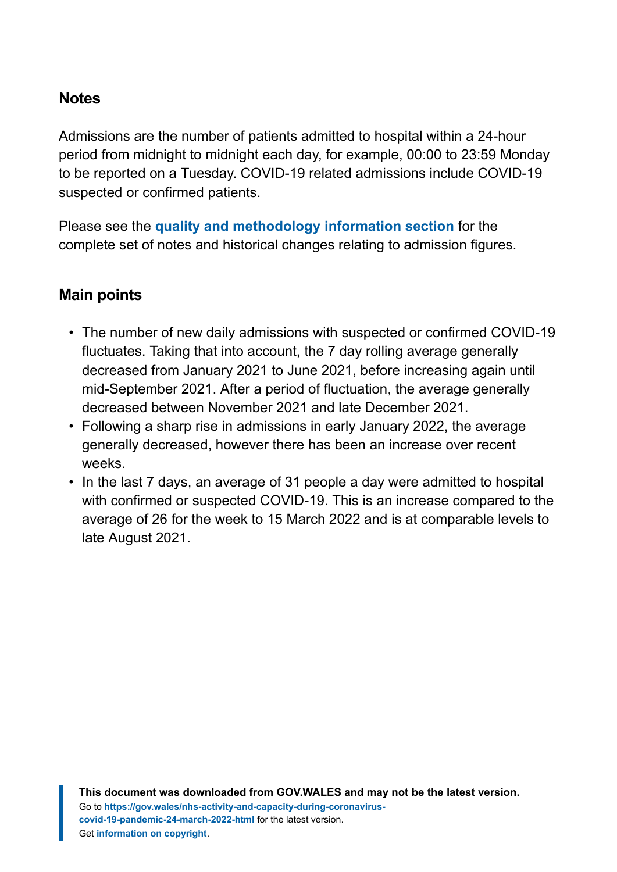#### **Notes**

Admissions are the number of patients admitted to hospital within a 24-hour period from midnight to midnight each day, for example, 00:00 to 23:59 Monday to be reported on a Tuesday. COVID-19 related admissions include COVID-19 suspected or confirmed patients.

Please see the **[quality and methodology information section](#page-10-0)** for the complete set of notes and historical changes relating to admission figures.

#### **Main points**

- The number of new daily admissions with suspected or confirmed COVID-19 fluctuates. Taking that into account, the 7 day rolling average generally decreased from January 2021 to June 2021, before increasing again until mid-September 2021. After a period of fluctuation, the average generally decreased between November 2021 and late December 2021.
- Following a sharp rise in admissions in early January 2022, the average generally decreased, however there has been an increase over recent weeks.
- In the last 7 days, an average of 31 people a day were admitted to hospital with confirmed or suspected COVID-19. This is an increase compared to the average of 26 for the week to 15 March 2022 and is at comparable levels to late August 2021.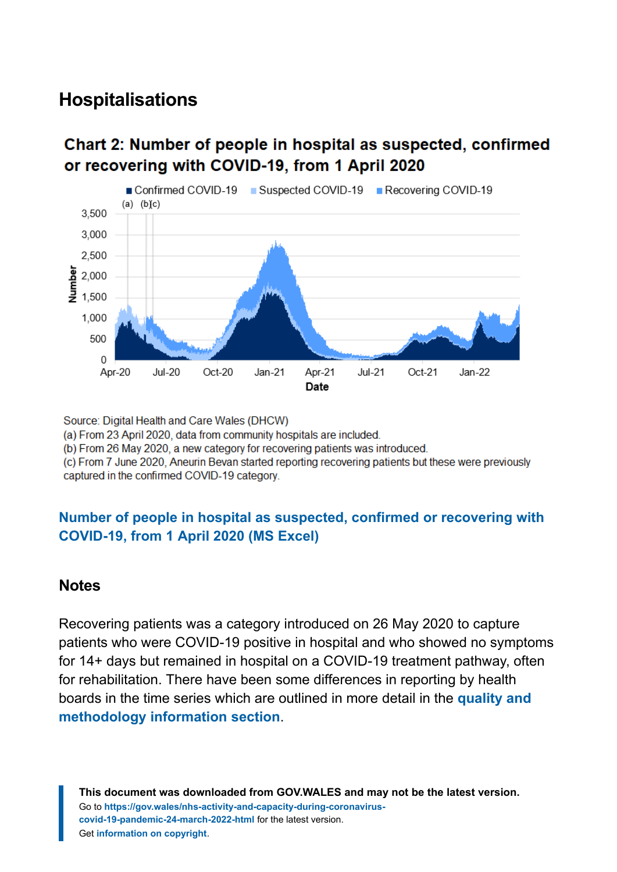### **Hospitalisations**

#### Chart 2: Number of people in hospital as suspected, confirmed or recovering with COVID-19, from 1 April 2020



Source: Digital Health and Care Wales (DHCW)

(a) From 23 April 2020, data from community hospitals are included.

(b) From 26 May 2020, a new category for recovering patients was introduced.

(c) From 7 June 2020, Aneurin Bevan started reporting recovering patients but these were previously captured in the confirmed COVID-19 category.

#### **[Number of people in hospital as suspected, confirmed or recovering with](https://gov.wales/sites/default/files/statistics-and-research/2022-03/nhs-activity-and-capacity-during-the-coronavirus-covid-19-pandemic-24-march-2022-177.ods) [COVID-19, from 1 April 2020 \(MS Excel\)](https://gov.wales/sites/default/files/statistics-and-research/2022-03/nhs-activity-and-capacity-during-the-coronavirus-covid-19-pandemic-24-march-2022-177.ods)**

#### **Notes**

Recovering patients was a category introduced on 26 May 2020 to capture patients who were COVID-19 positive in hospital and who showed no symptoms for 14+ days but remained in hospital on a COVID-19 treatment pathway, often for rehabilitation. There have been some differences in reporting by health boards in the time series which are outlined in more detail in the **[quality and](#page-10-0) [methodology information section](#page-10-0)**.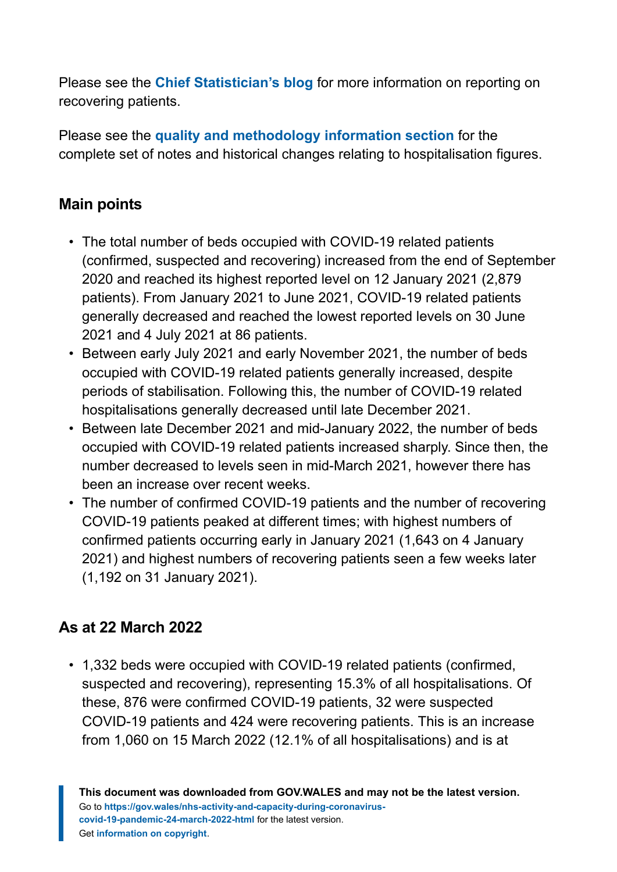Please see the **[Chief Statistician's blog](https://digitalanddata.blog.gov.wales/2020/06/04/chief-statisticians-update-measuring-people-in-hospital-and-some-thoughts-on-data-quality/)** for more information on reporting on recovering patients.

Please see the **[quality and methodology information section](#page-10-0)** for the complete set of notes and historical changes relating to hospitalisation figures.

#### **Main points**

- The total number of beds occupied with COVID-19 related patients (confirmed, suspected and recovering) increased from the end of September 2020 and reached its highest reported level on 12 January 2021 (2,879 patients). From January 2021 to June 2021, COVID-19 related patients generally decreased and reached the lowest reported levels on 30 June 2021 and 4 July 2021 at 86 patients.
- Between early July 2021 and early November 2021, the number of beds occupied with COVID-19 related patients generally increased, despite periods of stabilisation. Following this, the number of COVID-19 related hospitalisations generally decreased until late December 2021.
- Between late December 2021 and mid-January 2022, the number of beds occupied with COVID-19 related patients increased sharply. Since then, the number decreased to levels seen in mid-March 2021, however there has been an increase over recent weeks.
- The number of confirmed COVID-19 patients and the number of recovering COVID-19 patients peaked at different times; with highest numbers of confirmed patients occurring early in January 2021 (1,643 on 4 January 2021) and highest numbers of recovering patients seen a few weeks later (1,192 on 31 January 2021).

#### **As at 22 March 2022**

• 1,332 beds were occupied with COVID-19 related patients (confirmed, suspected and recovering), representing 15.3% of all hospitalisations. Of these, 876 were confirmed COVID-19 patients, 32 were suspected COVID-19 patients and 424 were recovering patients. This is an increase from 1,060 on 15 March 2022 (12.1% of all hospitalisations) and is at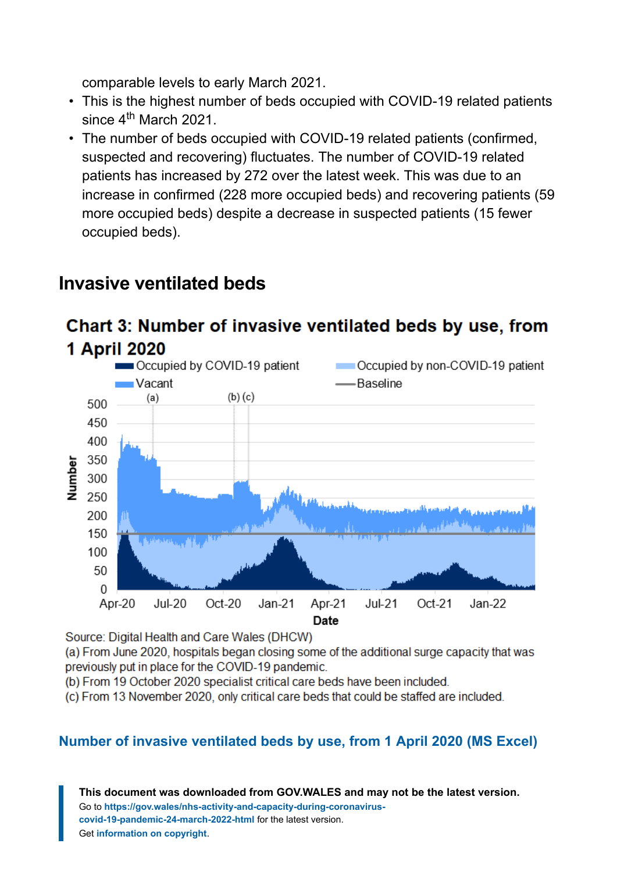comparable levels to early March 2021.

- This is the highest number of beds occupied with COVID-19 related patients since  $4^{th}$  March 2021.
- The number of beds occupied with COVID-19 related patients (confirmed, suspected and recovering) fluctuates. The number of COVID-19 related patients has increased by 272 over the latest week. This was due to an increase in confirmed (228 more occupied beds) and recovering patients (59 more occupied beds) despite a decrease in suspected patients (15 fewer occupied beds).

### **Invasive ventilated beds**

### Chart 3: Number of invasive ventilated beds by use, from 1 April 2020



Source: Digital Health and Care Wales (DHCW)

(a) From June 2020, hospitals began closing some of the additional surge capacity that was previously put in place for the COVID-19 pandemic.

(b) From 19 October 2020 specialist critical care beds have been included.

(c) From 13 November 2020, only critical care beds that could be staffed are included.

#### **[Number of invasive ventilated beds by use, from 1 April 2020](https://gov.wales/sites/default/files/statistics-and-research/2022-03/nhs-activity-and-capacity-during-the-coronavirus-covid-19-pandemic-24-march-2022-177.ods) (MS Excel)**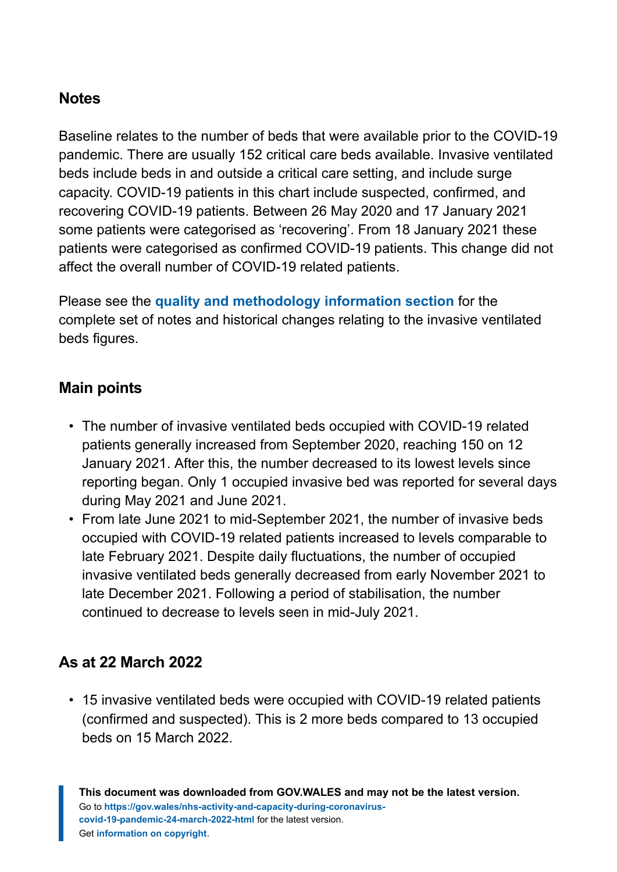#### **Notes**

Baseline relates to the number of beds that were available prior to the COVID-19 pandemic. There are usually 152 critical care beds available. Invasive ventilated beds include beds in and outside a critical care setting, and include surge capacity. COVID-19 patients in this chart include suspected, confirmed, and recovering COVID-19 patients. Between 26 May 2020 and 17 January 2021 some patients were categorised as 'recovering'. From 18 January 2021 these patients were categorised as confirmed COVID-19 patients. This change did not affect the overall number of COVID-19 related patients.

Please see the **[quality and methodology information section](#page-10-0)** for the complete set of notes and historical changes relating to the invasive ventilated beds figures.

#### **Main points**

- The number of invasive ventilated beds occupied with COVID-19 related patients generally increased from September 2020, reaching 150 on 12 January 2021. After this, the number decreased to its lowest levels since reporting began. Only 1 occupied invasive bed was reported for several days during May 2021 and June 2021.
- From late June 2021 to mid-September 2021, the number of invasive beds occupied with COVID-19 related patients increased to levels comparable to late February 2021. Despite daily fluctuations, the number of occupied invasive ventilated beds generally decreased from early November 2021 to late December 2021. Following a period of stabilisation, the number continued to decrease to levels seen in mid-July 2021.

#### **As at 22 March 2022**

• 15 invasive ventilated beds were occupied with COVID-19 related patients (confirmed and suspected). This is 2 more beds compared to 13 occupied beds on 15 March 2022.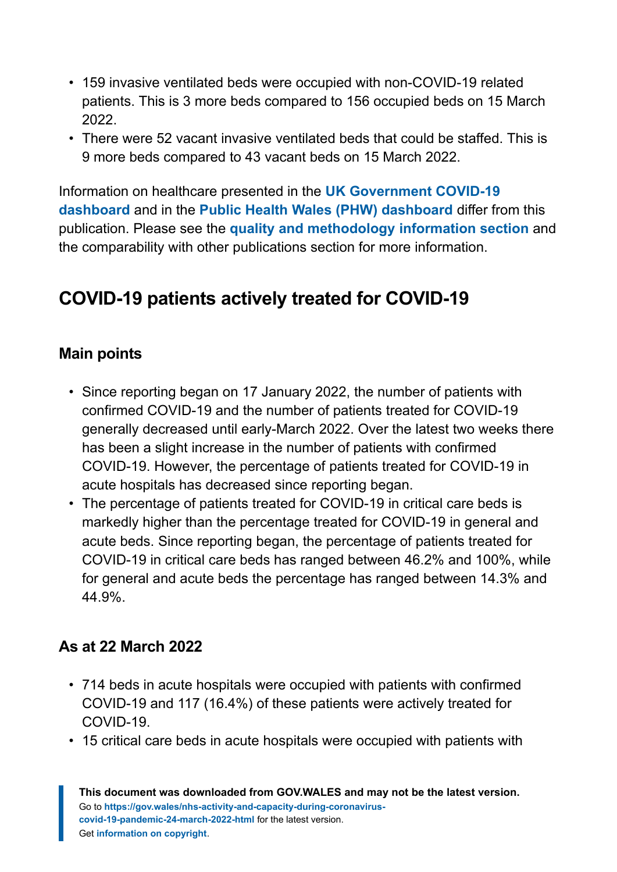- 159 invasive ventilated beds were occupied with non-COVID-19 related patients. This is 3 more beds compared to 156 occupied beds on 15 March 2022.
- There were 52 vacant invasive ventilated beds that could be staffed. This is 9 more beds compared to 43 vacant beds on 15 March 2022.

Information on healthcare presented in the **[UK Government COVID-19](https://coronavirus.data.gov.uk/) [dashboard](https://coronavirus.data.gov.uk/)** and in the **[Public Health Wales \(PHW\) dashboard](https://public.tableau.com/profile/public.health.wales.health.protection#!/vizhome/RapidCOVID-19virology-Public/Headlinesummary)** differ from this publication. Please see the **[quality and methodology information section](#page-10-0)** and the comparability with other publications section for more information.

# **COVID-19 patients actively treated for COVID-19**

#### **Main points**

- Since reporting began on 17 January 2022, the number of patients with confirmed COVID-19 and the number of patients treated for COVID-19 generally decreased until early-March 2022. Over the latest two weeks there has been a slight increase in the number of patients with confirmed COVID-19. However, the percentage of patients treated for COVID-19 in acute hospitals has decreased since reporting began.
- The percentage of patients treated for COVID-19 in critical care beds is markedly higher than the percentage treated for COVID-19 in general and acute beds. Since reporting began, the percentage of patients treated for COVID-19 in critical care beds has ranged between 46.2% and 100%, while for general and acute beds the percentage has ranged between 14.3% and 44.9%.

#### **As at 22 March 2022**

- 714 beds in acute hospitals were occupied with patients with confirmed COVID-19 and 117 (16.4%) of these patients were actively treated for COVID-19.
- 15 critical care beds in acute hospitals were occupied with patients with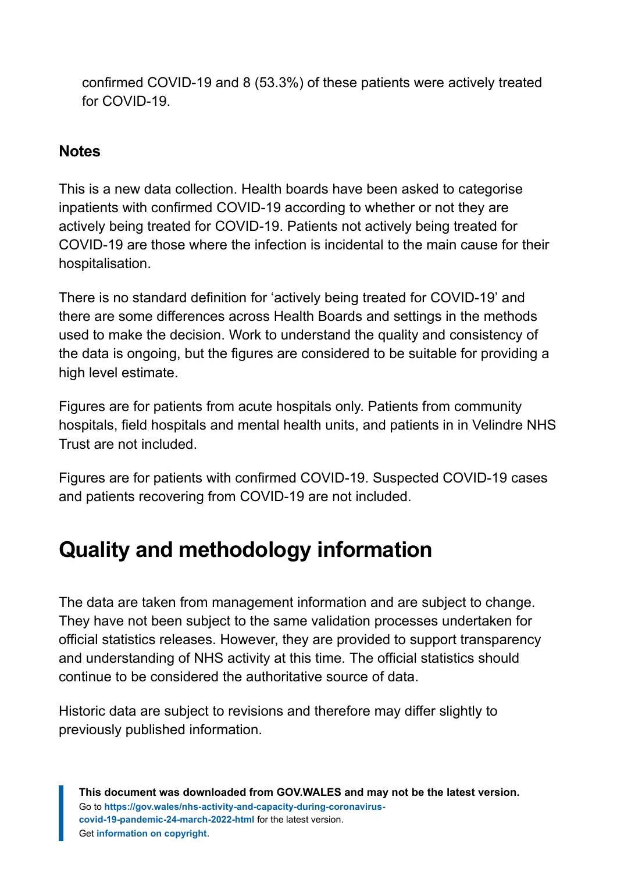confirmed COVID-19 and 8 (53.3%) of these patients were actively treated for COVID-19.

#### **Notes**

This is a new data collection. Health boards have been asked to categorise inpatients with confirmed COVID-19 according to whether or not they are actively being treated for COVID-19. Patients not actively being treated for COVID-19 are those where the infection is incidental to the main cause for their hospitalisation.

There is no standard definition for 'actively being treated for COVID-19' and there are some differences across Health Boards and settings in the methods used to make the decision. Work to understand the quality and consistency of the data is ongoing, but the figures are considered to be suitable for providing a high level estimate.

Figures are for patients from acute hospitals only. Patients from community hospitals, field hospitals and mental health units, and patients in in Velindre NHS Trust are not included.

Figures are for patients with confirmed COVID-19. Suspected COVID-19 cases and patients recovering from COVID-19 are not included.

# <span id="page-10-0"></span>**Quality and methodology information**

The data are taken from management information and are subject to change. They have not been subject to the same validation processes undertaken for official statistics releases. However, they are provided to support transparency and understanding of NHS activity at this time. The official statistics should continue to be considered the authoritative source of data.

Historic data are subject to revisions and therefore may differ slightly to previously published information.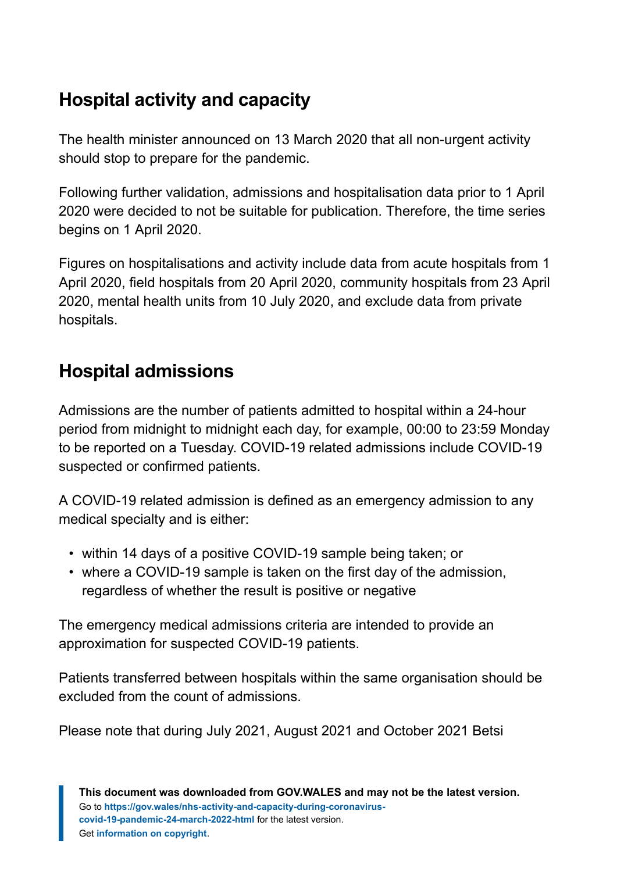# **Hospital activity and capacity**

The health minister announced on 13 March 2020 that all non-urgent activity should stop to prepare for the pandemic.

Following further validation, admissions and hospitalisation data prior to 1 April 2020 were decided to not be suitable for publication. Therefore, the time series begins on 1 April 2020.

Figures on hospitalisations and activity include data from acute hospitals from 1 April 2020, field hospitals from 20 April 2020, community hospitals from 23 April 2020, mental health units from 10 July 2020, and exclude data from private hospitals.

# **Hospital admissions**

Admissions are the number of patients admitted to hospital within a 24-hour period from midnight to midnight each day, for example, 00:00 to 23:59 Monday to be reported on a Tuesday. COVID-19 related admissions include COVID-19 suspected or confirmed patients.

A COVID-19 related admission is defined as an emergency admission to any medical specialty and is either:

- within 14 days of a positive COVID-19 sample being taken; or
- where a COVID-19 sample is taken on the first day of the admission, regardless of whether the result is positive or negative

The emergency medical admissions criteria are intended to provide an approximation for suspected COVID-19 patients.

Patients transferred between hospitals within the same organisation should be excluded from the count of admissions.

Please note that during July 2021, August 2021 and October 2021 Betsi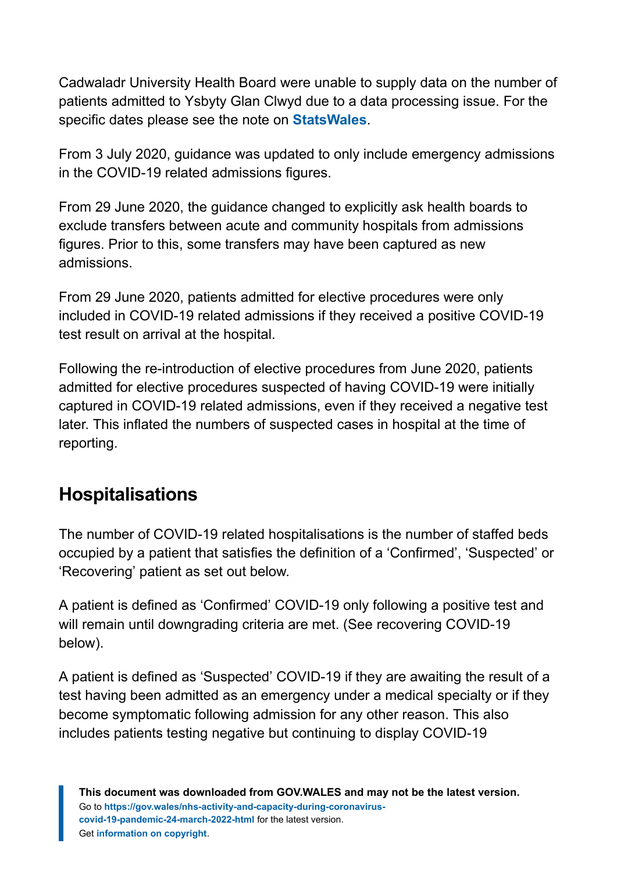Cadwaladr University Health Board were unable to supply data on the number of patients admitted to Ysbyty Glan Clwyd due to a data processing issue. For the specific dates please see the note on **[StatsWales](https://statswales.gov.wales/Catalogue/Health-and-Social-Care/NHS-Hospital-Activity/nhs-activity-and-capacity-during-the-coronavirus-pandemic)**.

From 3 July 2020, guidance was updated to only include emergency admissions in the COVID-19 related admissions figures.

From 29 June 2020, the guidance changed to explicitly ask health boards to exclude transfers between acute and community hospitals from admissions figures. Prior to this, some transfers may have been captured as new admissions.

From 29 June 2020, patients admitted for elective procedures were only included in COVID-19 related admissions if they received a positive COVID-19 test result on arrival at the hospital.

Following the re-introduction of elective procedures from June 2020, patients admitted for elective procedures suspected of having COVID-19 were initially captured in COVID-19 related admissions, even if they received a negative test later. This inflated the numbers of suspected cases in hospital at the time of reporting.

### **Hospitalisations**

The number of COVID-19 related hospitalisations is the number of staffed beds occupied by a patient that satisfies the definition of a 'Confirmed', 'Suspected' or 'Recovering' patient as set out below.

A patient is defined as 'Confirmed' COVID-19 only following a positive test and will remain until downgrading criteria are met. (See recovering COVID-19 below).

A patient is defined as 'Suspected' COVID-19 if they are awaiting the result of a test having been admitted as an emergency under a medical specialty or if they become symptomatic following admission for any other reason. This also includes patients testing negative but continuing to display COVID-19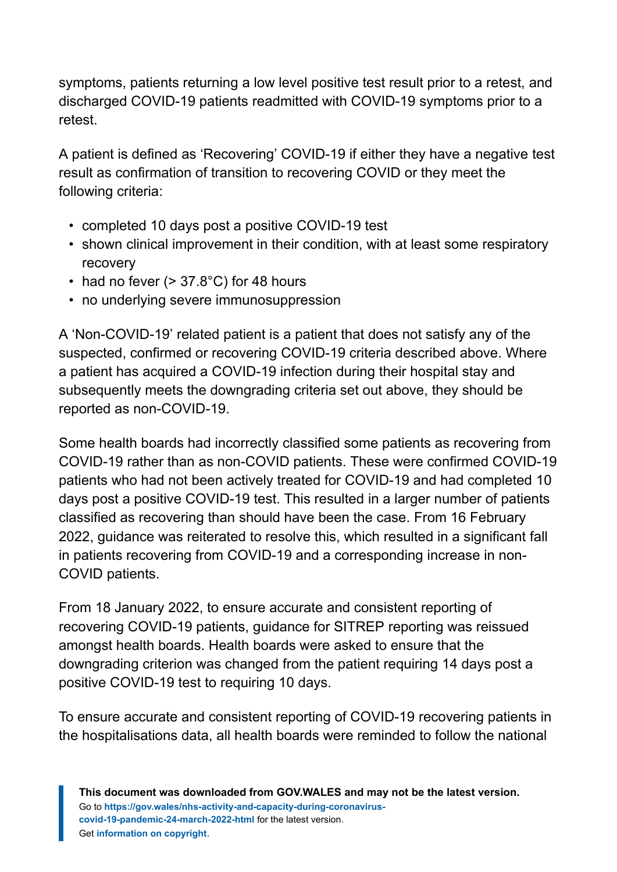symptoms, patients returning a low level positive test result prior to a retest, and discharged COVID-19 patients readmitted with COVID-19 symptoms prior to a retest.

A patient is defined as 'Recovering' COVID-19 if either they have a negative test result as confirmation of transition to recovering COVID or they meet the following criteria:

- completed 10 days post a positive COVID-19 test
- shown clinical improvement in their condition, with at least some respiratory recovery
- had no fever  $(> 37.8^{\circ}C)$  for 48 hours
- no underlying severe immunosuppression

A 'Non-COVID-19' related patient is a patient that does not satisfy any of the suspected, confirmed or recovering COVID-19 criteria described above. Where a patient has acquired a COVID-19 infection during their hospital stay and subsequently meets the downgrading criteria set out above, they should be reported as non-COVID-19.

Some health boards had incorrectly classified some patients as recovering from COVID-19 rather than as non-COVID patients. These were confirmed COVID-19 patients who had not been actively treated for COVID-19 and had completed 10 days post a positive COVID-19 test. This resulted in a larger number of patients classified as recovering than should have been the case. From 16 February 2022, guidance was reiterated to resolve this, which resulted in a significant fall in patients recovering from COVID-19 and a corresponding increase in non-COVID patients.

From 18 January 2022, to ensure accurate and consistent reporting of recovering COVID-19 patients, guidance for SITREP reporting was reissued amongst health boards. Health boards were asked to ensure that the downgrading criterion was changed from the patient requiring 14 days post a positive COVID-19 test to requiring 10 days.

To ensure accurate and consistent reporting of COVID-19 recovering patients in the hospitalisations data, all health boards were reminded to follow the national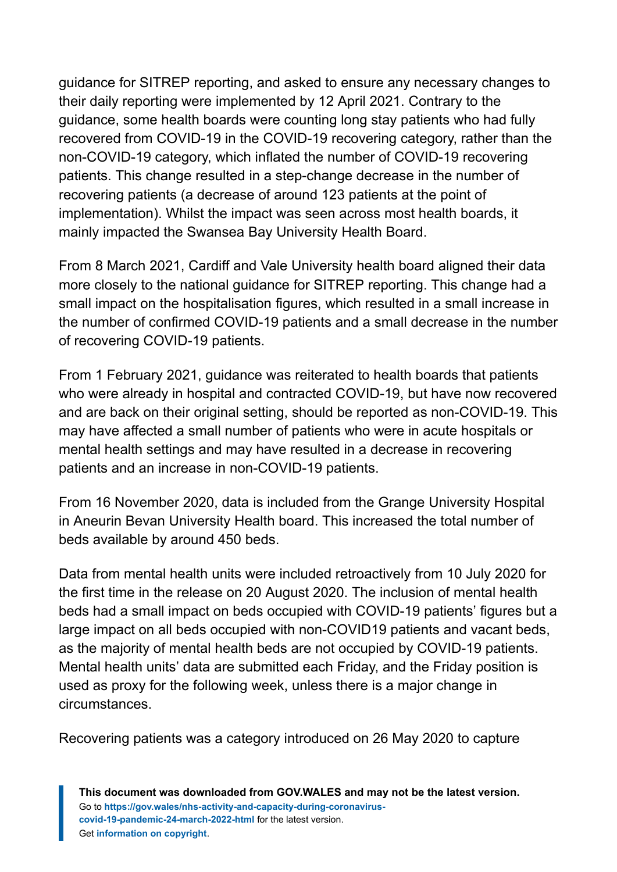guidance for SITREP reporting, and asked to ensure any necessary changes to their daily reporting were implemented by 12 April 2021. Contrary to the guidance, some health boards were counting long stay patients who had fully recovered from COVID-19 in the COVID-19 recovering category, rather than the non-COVID-19 category, which inflated the number of COVID-19 recovering patients. This change resulted in a step-change decrease in the number of recovering patients (a decrease of around 123 patients at the point of implementation). Whilst the impact was seen across most health boards, it mainly impacted the Swansea Bay University Health Board.

From 8 March 2021, Cardiff and Vale University health board aligned their data more closely to the national guidance for SITREP reporting. This change had a small impact on the hospitalisation figures, which resulted in a small increase in the number of confirmed COVID-19 patients and a small decrease in the number of recovering COVID-19 patients.

From 1 February 2021, guidance was reiterated to health boards that patients who were already in hospital and contracted COVID-19, but have now recovered and are back on their original setting, should be reported as non-COVID-19. This may have affected a small number of patients who were in acute hospitals or mental health settings and may have resulted in a decrease in recovering patients and an increase in non-COVID-19 patients.

From 16 November 2020, data is included from the Grange University Hospital in Aneurin Bevan University Health board. This increased the total number of beds available by around 450 beds.

Data from mental health units were included retroactively from 10 July 2020 for the first time in the release on 20 August 2020. The inclusion of mental health beds had a small impact on beds occupied with COVID-19 patients' figures but a large impact on all beds occupied with non-COVID19 patients and vacant beds, as the majority of mental health beds are not occupied by COVID-19 patients. Mental health units' data are submitted each Friday, and the Friday position is used as proxy for the following week, unless there is a major change in circumstances.

Recovering patients was a category introduced on 26 May 2020 to capture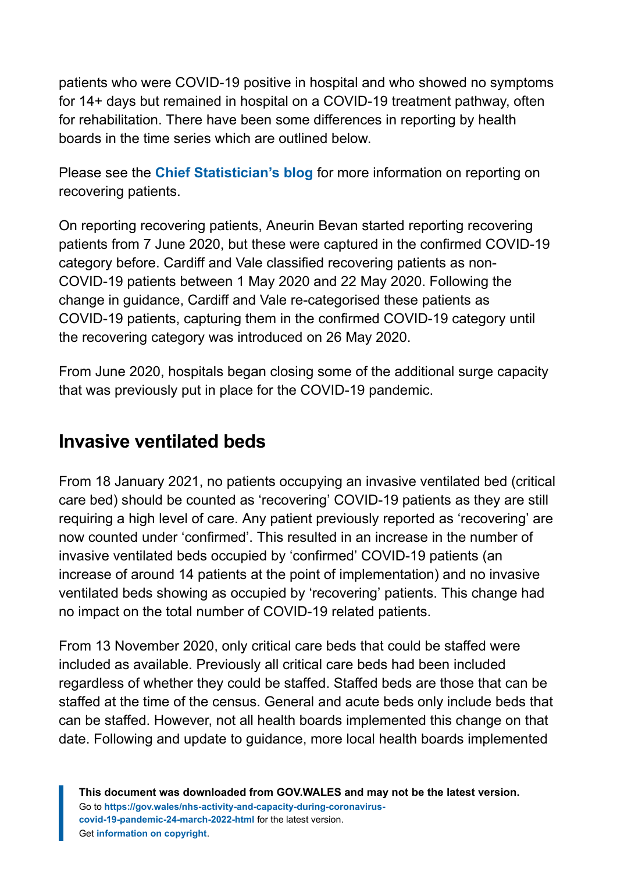patients who were COVID-19 positive in hospital and who showed no symptoms for 14+ days but remained in hospital on a COVID-19 treatment pathway, often for rehabilitation. There have been some differences in reporting by health boards in the time series which are outlined below.

Please see the **[Chief Statistician's blog](https://digitalanddata.blog.gov.wales/2020/06/04/chief-statisticians-update-measuring-people-in-hospital-and-some-thoughts-on-data-quality/)** for more information on reporting on recovering patients.

On reporting recovering patients, Aneurin Bevan started reporting recovering patients from 7 June 2020, but these were captured in the confirmed COVID-19 category before. Cardiff and Vale classified recovering patients as non-COVID-19 patients between 1 May 2020 and 22 May 2020. Following the change in guidance, Cardiff and Vale re-categorised these patients as COVID-19 patients, capturing them in the confirmed COVID-19 category until the recovering category was introduced on 26 May 2020.

From June 2020, hospitals began closing some of the additional surge capacity that was previously put in place for the COVID-19 pandemic.

### **Invasive ventilated beds**

From 18 January 2021, no patients occupying an invasive ventilated bed (critical care bed) should be counted as 'recovering' COVID-19 patients as they are still requiring a high level of care. Any patient previously reported as 'recovering' are now counted under 'confirmed'. This resulted in an increase in the number of invasive ventilated beds occupied by 'confirmed' COVID-19 patients (an increase of around 14 patients at the point of implementation) and no invasive ventilated beds showing as occupied by 'recovering' patients. This change had no impact on the total number of COVID-19 related patients.

From 13 November 2020, only critical care beds that could be staffed were included as available. Previously all critical care beds had been included regardless of whether they could be staffed. Staffed beds are those that can be staffed at the time of the census. General and acute beds only include beds that can be staffed. However, not all health boards implemented this change on that date. Following and update to guidance, more local health boards implemented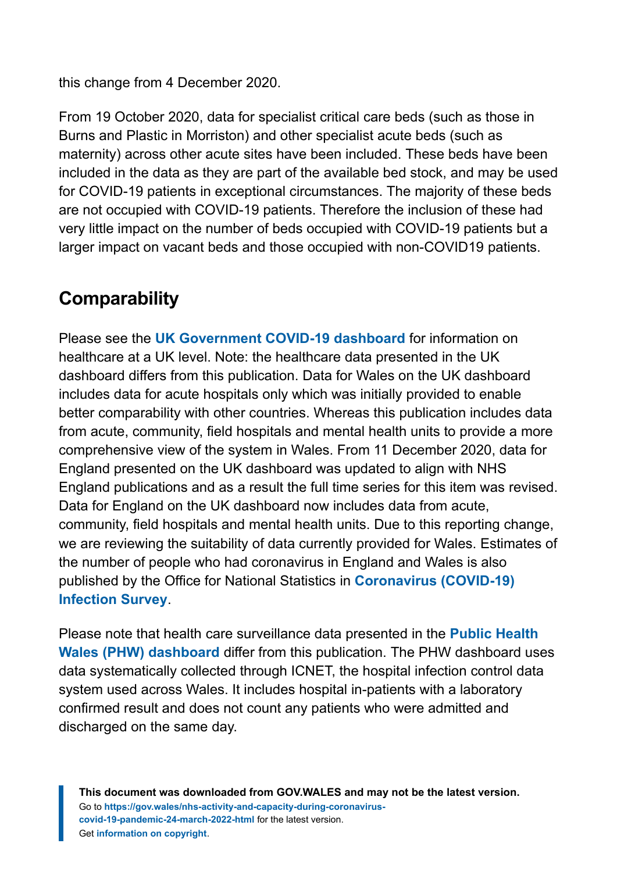this change from 4 December 2020.

From 19 October 2020, data for specialist critical care beds (such as those in Burns and Plastic in Morriston) and other specialist acute beds (such as maternity) across other acute sites have been included. These beds have been included in the data as they are part of the available bed stock, and may be used for COVID-19 patients in exceptional circumstances. The majority of these beds are not occupied with COVID-19 patients. Therefore the inclusion of these had very little impact on the number of beds occupied with COVID-19 patients but a larger impact on vacant beds and those occupied with non-COVID19 patients.

# **Comparability**

Please see the **[UK Government COVID-19 dashboard](https://coronavirus.data.gov.uk/)** for information on healthcare at a UK level. Note: the healthcare data presented in the UK dashboard differs from this publication. Data for Wales on the UK dashboard includes data for acute hospitals only which was initially provided to enable better comparability with other countries. Whereas this publication includes data from acute, community, field hospitals and mental health units to provide a more comprehensive view of the system in Wales. From 11 December 2020, data for England presented on the UK dashboard was updated to align with NHS England publications and as a result the full time series for this item was revised. Data for England on the UK dashboard now includes data from acute, community, field hospitals and mental health units. Due to this reporting change, we are reviewing the suitability of data currently provided for Wales. Estimates of the number of people who had coronavirus in England and Wales is also published by the Office for National Statistics in **[Coronavirus \(COVID-19\)](https://www.ons.gov.uk/peoplepopulationandcommunity/healthandsocialcare/conditionsanddiseases/bulletins/coronaviruscovid19infectionsurveypilot/previousReleases) [Infection Survey](https://www.ons.gov.uk/peoplepopulationandcommunity/healthandsocialcare/conditionsanddiseases/bulletins/coronaviruscovid19infectionsurveypilot/previousReleases)**.

Please note that health care surveillance data presented in the **[Public Health](https://public.tableau.com/profile/public.health.wales.health.protection#!/vizhome/RapidCOVID-19virology-Public/Headlinesummary) [Wales \(PHW\) dashboard](https://public.tableau.com/profile/public.health.wales.health.protection#!/vizhome/RapidCOVID-19virology-Public/Headlinesummary)** differ from this publication. The PHW dashboard uses data systematically collected through ICNET, the hospital infection control data system used across Wales. It includes hospital in-patients with a laboratory confirmed result and does not count any patients who were admitted and discharged on the same day.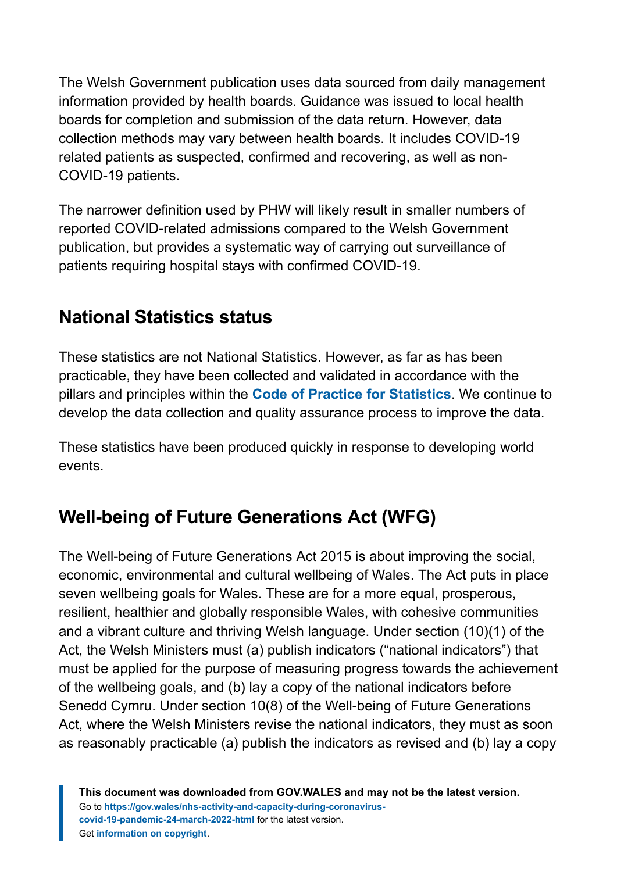The Welsh Government publication uses data sourced from daily management information provided by health boards. Guidance was issued to local health boards for completion and submission of the data return. However, data collection methods may vary between health boards. It includes COVID-19 related patients as suspected, confirmed and recovering, as well as non-COVID-19 patients.

The narrower definition used by PHW will likely result in smaller numbers of reported COVID-related admissions compared to the Welsh Government publication, but provides a systematic way of carrying out surveillance of patients requiring hospital stays with confirmed COVID-19.

### **National Statistics status**

These statistics are not National Statistics. However, as far as has been practicable, they have been collected and validated in accordance with the pillars and principles within the **[Code of Practice for Statistics](https://code.statisticsauthority.gov.uk/)**. We continue to develop the data collection and quality assurance process to improve the data.

These statistics have been produced quickly in response to developing world events.

# **Well-being of Future Generations Act (WFG)**

The Well-being of Future Generations Act 2015 is about improving the social, economic, environmental and cultural wellbeing of Wales. The Act puts in place seven wellbeing goals for Wales. These are for a more equal, prosperous, resilient, healthier and globally responsible Wales, with cohesive communities and a vibrant culture and thriving Welsh language. Under section (10)(1) of the Act, the Welsh Ministers must (a) publish indicators ("national indicators") that must be applied for the purpose of measuring progress towards the achievement of the wellbeing goals, and (b) lay a copy of the national indicators before Senedd Cymru. Under section 10(8) of the Well-being of Future Generations Act, where the Welsh Ministers revise the national indicators, they must as soon as reasonably practicable (a) publish the indicators as revised and (b) lay a copy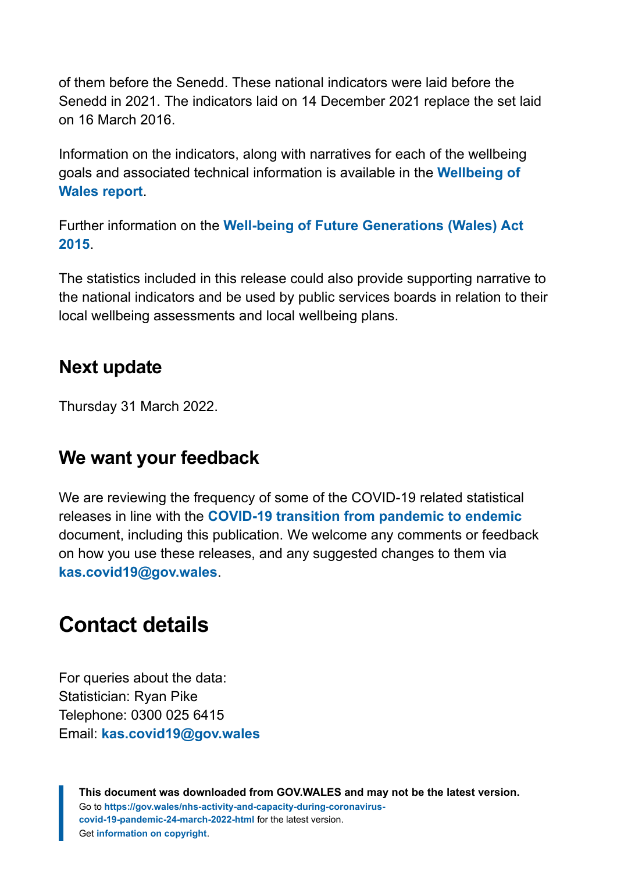of them before the Senedd. These national indicators were laid before the Senedd in 2021. The indicators laid on 14 December 2021 replace the set laid on 16 March 2016.

Information on the indicators, along with narratives for each of the wellbeing goals and associated technical information is available in the **[Wellbeing of](https://gov.wales/wellbeing-wales) [Wales report](https://gov.wales/wellbeing-wales)**.

Further information on the **[Well-being of Future Generations \(Wales\) Act](https://gov.wales/well-being-future-generations-wales-act-2015-guidance) [2015](https://gov.wales/well-being-future-generations-wales-act-2015-guidance)**.

The statistics included in this release could also provide supporting narrative to the national indicators and be used by public services boards in relation to their local wellbeing assessments and local wellbeing plans.

### **Next update**

Thursday 31 March 2022.

### **We want your feedback**

We are reviewing the frequency of some of the COVID-19 related statistical releases in line with the **[COVID-19 transition from pandemic to endemic](https://gov.wales/wales-long-term-covid-19-transition-pandemic-endemic)** document, including this publication. We welcome any comments or feedback on how you use these releases, and any suggested changes to them via **[kas.covid19@gov.wales](mailto:kas.covid19@gov.wales)**.

# <span id="page-18-0"></span>**Contact details**

For queries about the data: Statistician: Ryan Pike Telephone: 0300 025 6415 Email: **[kas.covid19@gov.wales](mailto:kas.covid19@gov.wales)**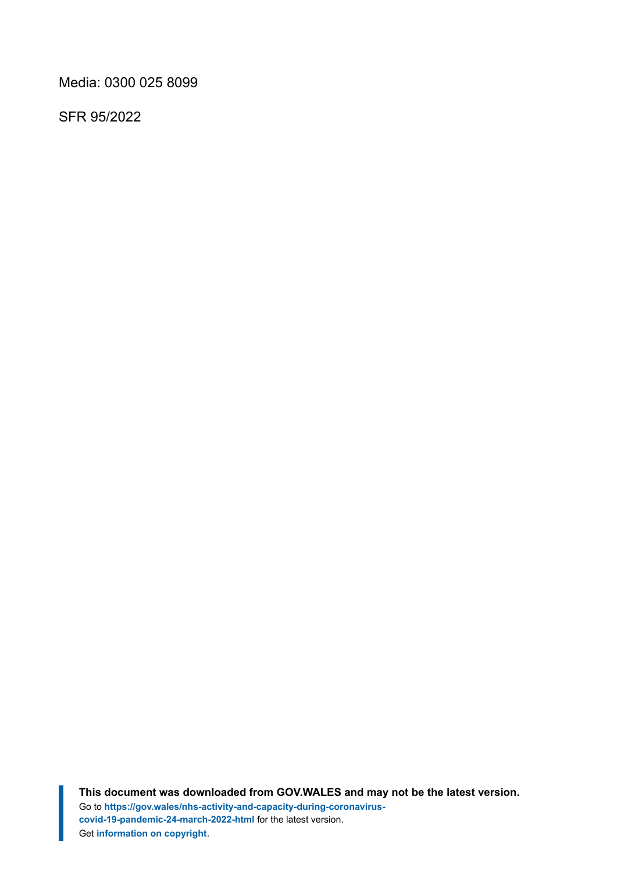Media: 0300 025 8099

SFR 95/2022